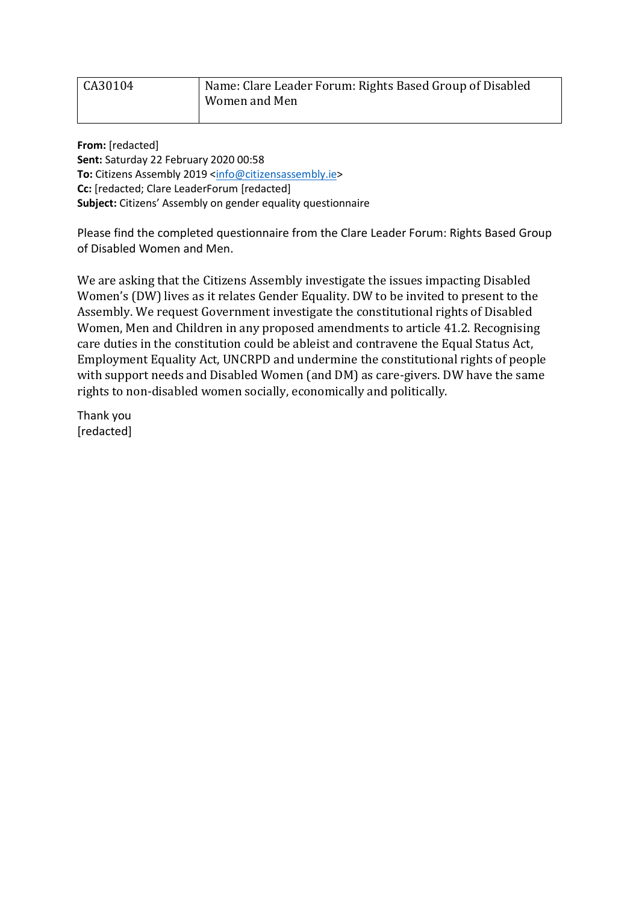| CA30104 | Name: Clare Leader Forum: Rights Based Group of Disabled |
|---------|----------------------------------------------------------|
|         | Women and Men                                            |

**From:** [redacted] **Sent:** Saturday 22 February 2020 00:58 **To:** Citizens Assembly 2019 <info@citizensassembly.je> **Cc:** [redacted; Clare LeaderForum [redacted] **Subject:** Citizens' Assembly on gender equality questionnaire

Please find the completed questionnaire from the Clare Leader Forum: Rights Based Group of Disabled Women and Men.

We are asking that the Citizens Assembly investigate the issues impacting Disabled Women's (DW) lives as it relates Gender Equality. DW to be invited to present to the Assembly. We request Government investigate the constitutional rights of Disabled Women, Men and Children in any proposed amendments to article 41.2. Recognising care duties in the constitution could be ableist and contravene the Equal Status Act, Employment Equality Act, UNCRPD and undermine the constitutional rights of people with support needs and Disabled Women (and DM) as care-givers. DW have the same rights to non-disabled women socially, economically and politically.

Thank you [redacted]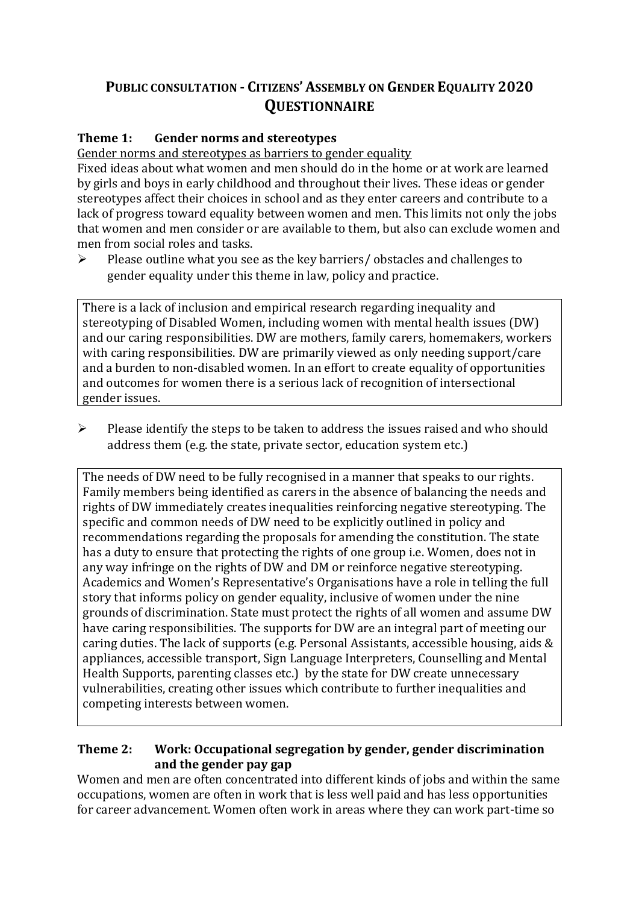# **PUBLIC CONSULTATION - CITIZENS' ASSEMBLY ON GENDER EQUALITY 2020 QUESTIONNAIRE**

## **Theme 1: Gender norms and stereotypes**

Gender norms and stereotypes as barriers to gender equality

Fixed ideas about what women and men should do in the home or at work are learned by girls and boys in early childhood and throughout their lives. These ideas or gender stereotypes affect their choices in school and as they enter careers and contribute to a lack of progress toward equality between women and men. This limits not only the jobs that women and men consider or are available to them, but also can exclude women and men from social roles and tasks.

 $\triangleright$  Please outline what you see as the key barriers/ obstacles and challenges to gender equality under this theme in law, policy and practice.

There is a lack of inclusion and empirical research regarding inequality and stereotyping of Disabled Women, including women with mental health issues (DW) and our caring responsibilities. DW are mothers, family carers, homemakers, workers with caring responsibilities. DW are primarily viewed as only needing support/care and a burden to non-disabled women. In an effort to create equality of opportunities and outcomes for women there is a serious lack of recognition of intersectional gender issues.

➢ Please identify the steps to be taken to address the issues raised and who should address them (e.g. the state, private sector, education system etc.)

The needs of DW need to be fully recognised in a manner that speaks to our rights. Family members being identified as carers in the absence of balancing the needs and rights of DW immediately creates inequalities reinforcing negative stereotyping. The specific and common needs of DW need to be explicitly outlined in policy and recommendations regarding the proposals for amending the constitution. The state has a duty to ensure that protecting the rights of one group i.e. Women, does not in any way infringe on the rights of DW and DM or reinforce negative stereotyping. Academics and Women's Representative's Organisations have a role in telling the full story that informs policy on gender equality, inclusive of women under the nine grounds of discrimination. State must protect the rights of all women and assume DW have caring responsibilities. The supports for DW are an integral part of meeting our caring duties. The lack of supports (e.g. Personal Assistants, accessible housing, aids & appliances, accessible transport, Sign Language Interpreters, Counselling and Mental Health Supports, parenting classes etc.) by the state for DW create unnecessary vulnerabilities, creating other issues which contribute to further inequalities and competing interests between women.

#### **Theme 2: Work: Occupational segregation by gender, gender discrimination and the gender pay gap**

Women and men are often concentrated into different kinds of jobs and within the same occupations, women are often in work that is less well paid and has less opportunities for career advancement. Women often work in areas where they can work part-time so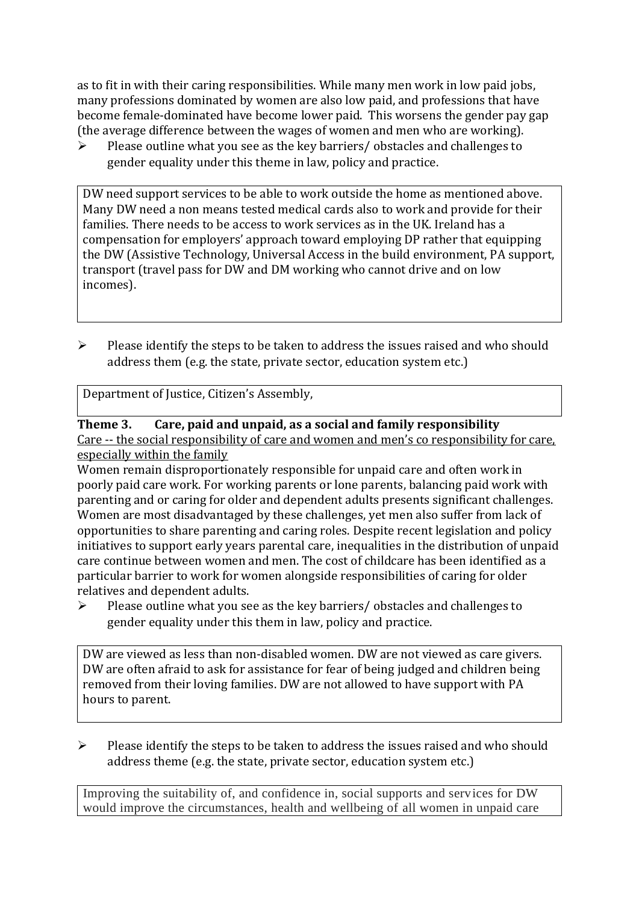as to fit in with their caring responsibilities. While many men work in low paid jobs, many professions dominated by women are also low paid, and professions that have become female-dominated have become lower paid. This worsens the gender pay gap (the average difference between the wages of women and men who are working).

➢ Please outline what you see as the key barriers/ obstacles and challenges to gender equality under this theme in law, policy and practice.

DW need support services to be able to work outside the home as mentioned above. Many DW need a non means tested medical cards also to work and provide for their families. There needs to be access to work services as in the UK. Ireland has a compensation for employers' approach toward employing DP rather that equipping the DW (Assistive Technology, Universal Access in the build environment, PA support, transport (travel pass for DW and DM working who cannot drive and on low incomes).

➢ Please identify the steps to be taken to address the issues raised and who should address them (e.g. the state, private sector, education system etc.)

Department of Justice, Citizen's Assembly,

#### **Theme 3. Care, paid and unpaid, as a social and family responsibility**

Care -- the social responsibility of care and women and men's co responsibility for care, especially within the family

Women remain disproportionately responsible for unpaid care and often work in poorly paid care work. For working parents or [lone parents,](https://aran.library.nuigalway.ie/bitstream/handle/10379/6044/Millar_and_Crosse_Activation_Report.pdf?sequence=1&isAllowed=y) balancing paid work with parenting and or caring for older and dependent adults presents significant challenges. Women are [most disadvantaged by these challenges,](https://eige.europa.eu/gender-equality-index/game/IE/W) yet men also suffer from lack of opportunities to share parenting and caring roles. Despite recent legislation and policy initiatives to support early years parental care, [inequalities in the distribution of unpaid](https://www.ihrec.ie/app/uploads/2019/07/Caring-and-Unpaid-Work-in-Ireland_Final.pdf)  [care](https://www.ihrec.ie/app/uploads/2019/07/Caring-and-Unpaid-Work-in-Ireland_Final.pdf) continue between women and men. The cost of childcare has been identified as a particular barrier to work for women alongside responsibilities of caring for older relatives and dependent adults.

➢ Please outline what you see as the key barriers/ obstacles and challenges to gender equality under this them in law, policy and practice.

DW are viewed as less than non-disabled women. DW are not viewed as care givers. DW are often afraid to ask for assistance for fear of being judged and children being removed from their loving families. DW are not allowed to have support with PA hours to parent.

➢ Please identify the steps to be taken to address the issues raised and who should address theme (e.g. the state, private sector, education system etc.)

Improving the suitability of, and confidence in, social supports and services for DW would improve the circumstances, health and wellbeing of all women in unpaid care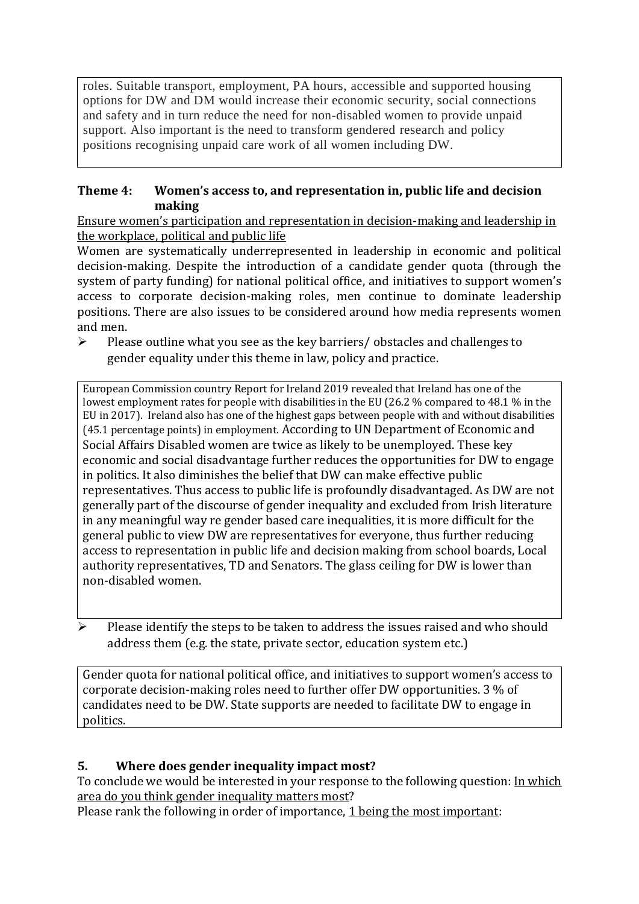roles. Suitable transport, employment, PA hours, accessible and supported housing options for DW and DM would increase their economic security, social connections and safety and in turn reduce the need for non-disabled women to provide unpaid support. Also important is the need to transform gendered research and policy positions recognising unpaid care work of all women including DW.

## **Theme 4: Women's access to, and representation in, public life and decision making**

Ensure women's participation and representation in decision-making and leadership in the workplace, political and public life

Women are systematically underrepresented in leadership in [economic](https://eige.europa.eu/gender-equality-index/2019/compare-countries/power/2/bar) and [political](https://eige.europa.eu/gender-equality-index/2019/compare-countries/power/1/bar)  [decision-](https://eige.europa.eu/gender-equality-index/2019/compare-countries/power/1/bar)making. Despite the introduction of a candidate gender quota (through the system of party funding) for national political office, and [initiatives](https://betterbalance.ie/) to support women's access to corporate decision-making roles, men continue to dominate leadership positions. There are also issues to be considered around how media represents women and men.

➢ Please outline what you see as the key barriers/ obstacles and challenges to gender equality under this theme in law, policy and practice.

[European Commission country Report for Ireland 2019](https://ec.europa.eu/info/sites/info/files/file_import/2019-european-semester-country-report-ireland_en.pdf) revealed that Ireland has one of the lowest employment rates for people with disabilities in the EU (26.2 % compared to 48.1 % in the EU in 2017). Ireland also has one of the highest gaps between people with and without disabilities (45.1 percentage points) in employment. According to UN Department of Economic and Social Affairs Disabled women are twice as likely to be unemployed. These key economic and social disadvantage further reduces the opportunities for DW to engage in politics. It also diminishes the belief that DW can make effective public representatives. Thus access to public life is profoundly disadvantaged. As DW are not generally part of the discourse of gender inequality and excluded from Irish literature in any meaningful way re gender based care inequalities, it is more difficult for the general public to view DW are representatives for everyone, thus further reducing access to representation in public life and decision making from school boards, Local authority representatives, TD and Senators. The glass ceiling for DW is lower than non-disabled women.

Please identify the steps to be taken to address the issues raised and who should address them (e.g. the state, private sector, education system etc.)

Gender quota for national political office, and [initiatives](https://betterbalance.ie/) to support women's access to corporate decision-making roles need to further offer DW opportunities. 3 % of candidates need to be DW. State supports are needed to facilitate DW to engage in politics.

## **5. Where does gender inequality impact most?**

To conclude we would be interested in your response to the following question: In which area do you think gender inequality matters most?

Please rank the following in order of importance, 1 being the most important: